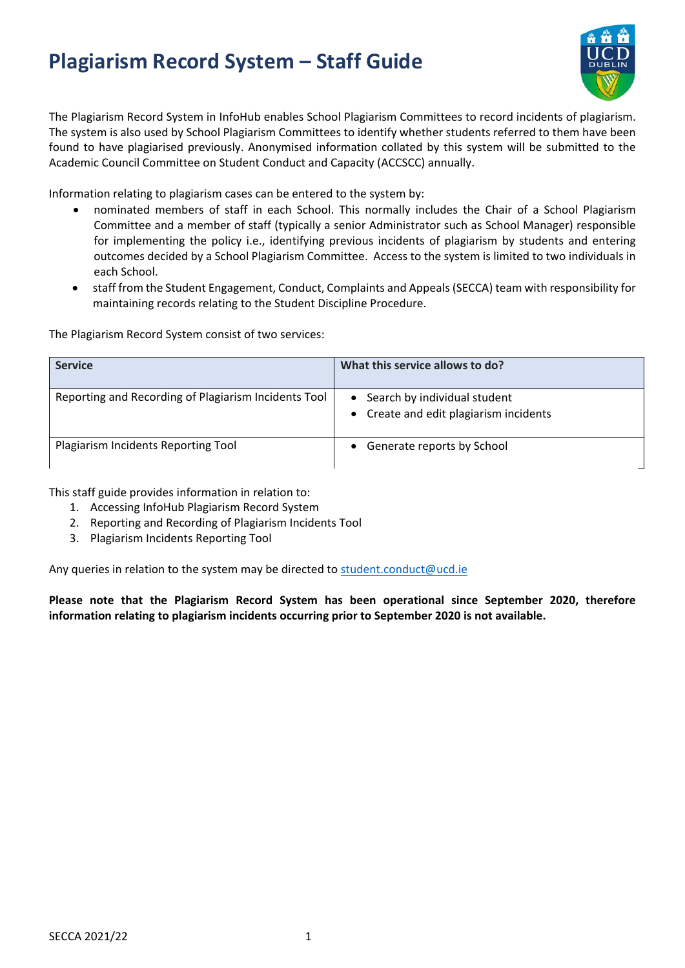# **Plagiarism Record System – Staff Guide**



The Plagiarism Record System in InfoHub enables School Plagiarism Committees to record incidents of plagiarism. The system is also used by School Plagiarism Committees to identify whether students referred to them have been found to have plagiarised previously. Anonymised information collated by this system will be submitted to the Academic Council Committee on Student Conduct and Capacity (ACCSCC) annually.

Information relating to plagiarism cases can be entered to the system by:

- nominated members of staff in each School. This normally includes the Chair of a School Plagiarism Committee and a member of staff (typically a senior Administrator such as School Manager) responsible for implementing the policy i.e., identifying previous incidents of plagiarism by students and entering outcomes decided by a School Plagiarism Committee. Access to the system is limited to two individuals in each School.
- staff from the Student Engagement, Conduct, Complaints and Appeals(SECCA) team with responsibility for maintaining records relating to the Student Discipline Procedure.

The Plagiarism Record System consist of two services:

| <b>Service</b>                                       | What this service allows to do?                                          |
|------------------------------------------------------|--------------------------------------------------------------------------|
| Reporting and Recording of Plagiarism Incidents Tool | • Search by individual student<br>• Create and edit plagiarism incidents |
| Plagiarism Incidents Reporting Tool                  | Generate reports by School                                               |

This staff guide provides information in relation to:

- 1. Accessing InfoHub Plagiarism Record System
- 2. Reporting and Recording of Plagiarism Incidents Tool
- 3. Plagiarism Incidents Reporting Tool

Any queries in relation to the system may be directed to [student.conduct@ucd.ie](mailto:student.conduct@ucd.ie)

**Please note that the Plagiarism Record System has been operational since September 2020, therefore information relating to plagiarism incidents occurring prior to September 2020 is not available.**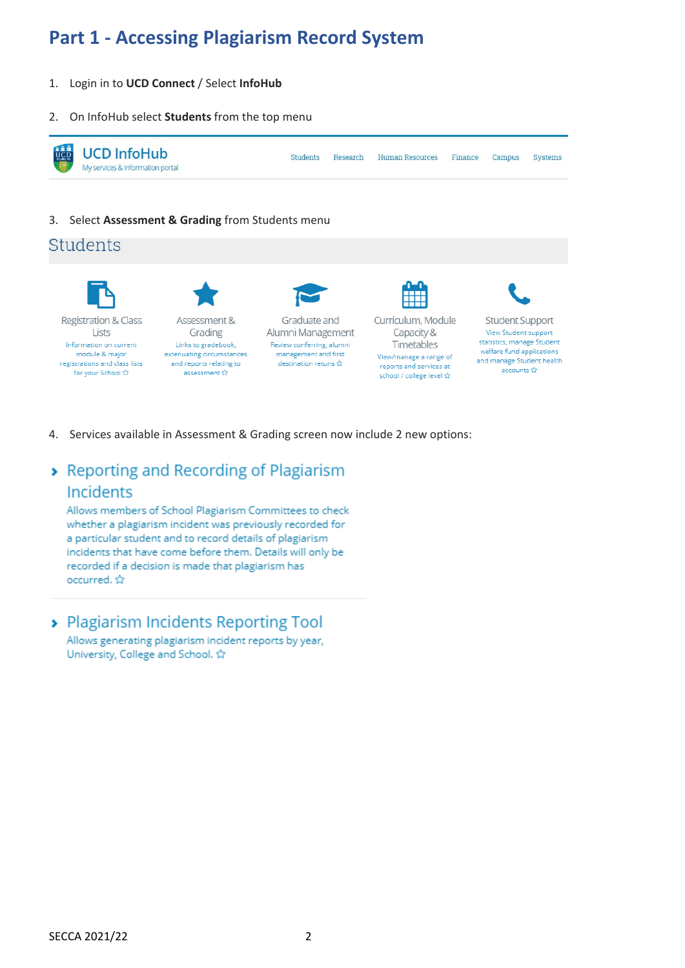## **Part 1 - Accessing Plagiarism Record System**

- 1. Login in to **UCD Connect** / Select **InfoHub**
- 2. On InfoHub select **Students** from the top menu



3. Select **Assessment & Grading** from Students menu

#### Students



4. Services available in Assessment & Grading screen now include 2 new options:

### > Reporting and Recording of Plagiarism Incidents

Allows members of School Plagiarism Committees to check whether a plagiarism incident was previously recorded for a particular student and to record details of plagiarism incidents that have come before them. Details will only be recorded if a decision is made that plagiarism has occurred. ☆

> Plagiarism Incidents Reporting Tool

Allows generating plagiarism incident reports by year, University, College and School. ☆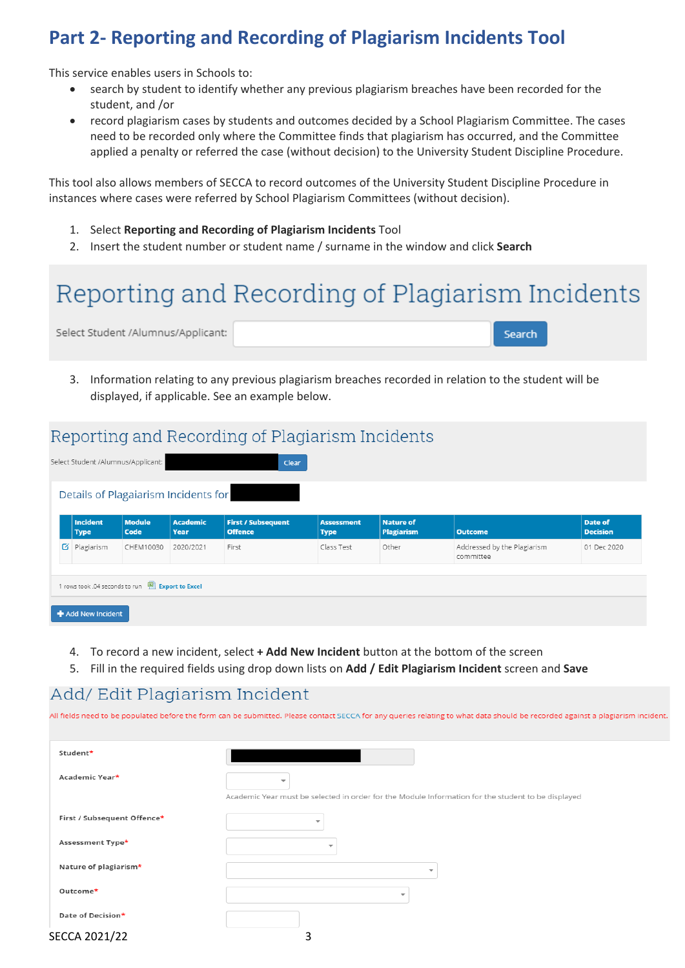### **Part 2- Reporting and Recording of Plagiarism Incidents Tool**

This service enables users in Schools to:

- search by student to identify whether any previous plagiarism breaches have been recorded for the student, and /or
- record plagiarism cases by students and outcomes decided by a School Plagiarism Committee. The cases need to be recorded only where the Committee finds that plagiarism has occurred, and the Committee applied a penalty or referred the case (without decision) to the University Student Discipline Procedure.

This tool also allows members of SECCA to record outcomes of the University Student Discipline Procedure in instances where cases were referred by School Plagiarism Committees (without decision).

- 1. Select **Reporting and Recording of Plagiarism Incidents** Tool
- 2. Insert the student number or student name / surname in the window and click **Search**

# Reporting and Recording of Plagiarism Incidents Select Student /Alumnus/Applicant: Search

3. Information relating to any previous plagiarism breaches recorded in relation to the student will be displayed, if applicable. See an example below.

### Reporting and Recording of Plagiarism Incidents

|                                                                          |                                | Select Student /Alumnus/Applicant: |                         | Clear                                       |                                  |                                       |                                          |                            |  |
|--------------------------------------------------------------------------|--------------------------------|------------------------------------|-------------------------|---------------------------------------------|----------------------------------|---------------------------------------|------------------------------------------|----------------------------|--|
| Details of Plagaiarism Incidents for                                     |                                |                                    |                         |                                             |                                  |                                       |                                          |                            |  |
|                                                                          | <b>Incident</b><br><b>Type</b> | <b>Module</b><br>Code              | <b>Academic</b><br>Year | <b>First / Subsequent</b><br><b>Offence</b> | <b>Assessment</b><br><b>Type</b> | <b>Nature of</b><br><b>Plagiarism</b> | <b>Outcome</b>                           | Date of<br><b>Decision</b> |  |
| Ø                                                                        | Plagiarism                     | CHEM10030                          | 2020/2021               | First                                       | Class Test                       | Other                                 | Addressed by the Plagiarism<br>committee | 01 Dec 2020                |  |
| 1 rows took .04 seconds to run [8] Export to Excel<br>+ Add New Incident |                                |                                    |                         |                                             |                                  |                                       |                                          |                            |  |

- 4. To record a new incident, select **+ Add New Incident** button at the bottom of the screen
- 5. Fill in the required fields using drop down lists on **Add / Edit Plagiarism Incident** screen and **Save**

### Add/ Edit Plagiarism Incident

All fields need to be populated before the form can be submitted. Please contact SECCA for any queries relating to what data should be recorded against a plagiarism incident

| Student*                    |                                                                                                    |
|-----------------------------|----------------------------------------------------------------------------------------------------|
| Academic Year*              | $\overline{\phantom{a}}$                                                                           |
|                             | Academic Year must be selected in order for the Module Information for the student to be displayed |
| First / Subsequent Offence* | ÷                                                                                                  |
| Assessment Type*            | $\overline{\phantom{a}}$                                                                           |
| Nature of plagiarism*       | $\overline{\phantom{a}}$                                                                           |
| Outcome*                    | $\overline{\phantom{a}}$                                                                           |
| Date of Decision*           |                                                                                                    |
| SECCA 2021/22               |                                                                                                    |